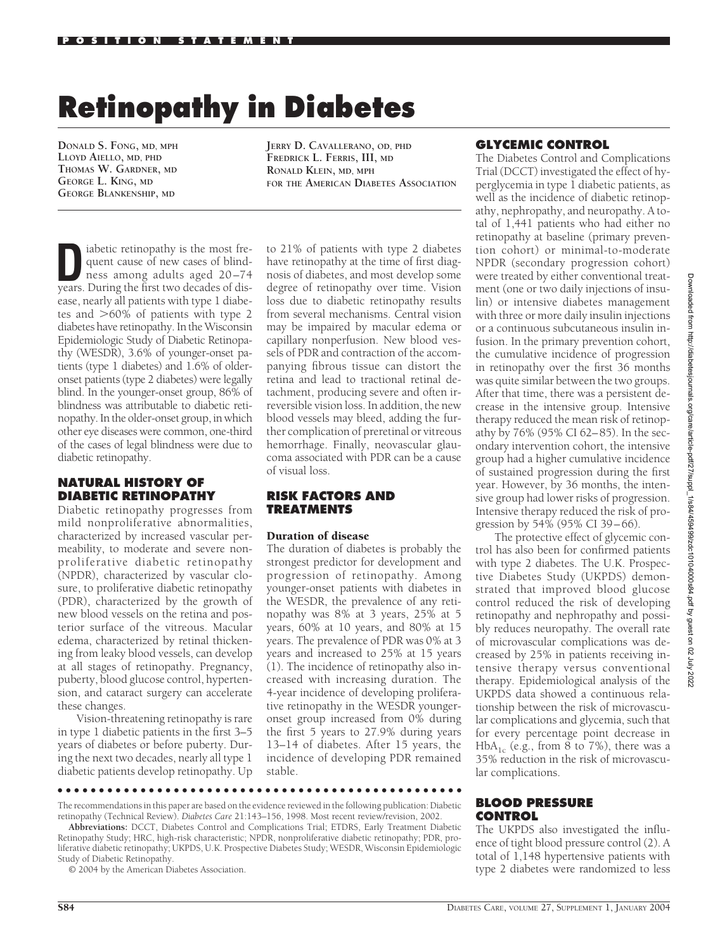# **Retinopathy in Diabetes**

**DONALD S. FONG, MD, MPH LLOYD AIELLO, MD, PHD THOMAS W. GARDNER, MD GEORGE L. KING, MD GEORGE BLANKENSHIP, MD**

**JERRY D. CAVALLERANO, OD, PHD FREDRICK L. FERRIS, III, MD RONALD KLEIN, MD, MPH FOR THE AMERICAN DIABETES ASSOCIATION**

iabetic retinopathy is the most frequent cause of new cases of blindness among adults aged 20–74<br>vears During the first two decades of disquent cause of new cases of blindyears. During the first two decades of disease, nearly all patients with type 1 diabetes and  $>60\%$  of patients with type 2 diabetes have retinopathy. In the Wisconsin Epidemiologic Study of Diabetic Retinopathy (WESDR), 3.6% of younger-onset patients (type 1 diabetes) and 1.6% of olderonset patients (type 2 diabetes) were legally blind. In the younger-onset group, 86% of blindness was attributable to diabetic retinopathy. In the older-onset group, in which other eye diseases were common, one-third of the cases of legal blindness were due to diabetic retinopathy.

## **NATURAL HISTORY OF DIABETIC RETINOPATHY**

Diabetic retinopathy progresses from mild nonproliferative abnormalities, characterized by increased vascular permeability, to moderate and severe nonproliferative diabetic retinopathy (NPDR), characterized by vascular closure, to proliferative diabetic retinopathy (PDR), characterized by the growth of new blood vessels on the retina and posterior surface of the vitreous. Macular edema, characterized by retinal thickening from leaky blood vessels, can develop at all stages of retinopathy. Pregnancy, puberty, blood glucose control, hypertension, and cataract surgery can accelerate these changes.

Vision-threatening retinopathy is rare in type 1 diabetic patients in the first 3–5 years of diabetes or before puberty. During the next two decades, nearly all type 1 diabetic patients develop retinopathy. Up to 21% of patients with type 2 diabetes have retinopathy at the time of first diagnosis of diabetes, and most develop some degree of retinopathy over time. Vision loss due to diabetic retinopathy results from several mechanisms. Central vision may be impaired by macular edema or capillary nonperfusion. New blood vessels of PDR and contraction of the accompanying fibrous tissue can distort the retina and lead to tractional retinal detachment, producing severe and often irreversible vision loss. In addition, the new blood vessels may bleed, adding the further complication of preretinal or vitreous hemorrhage. Finally, neovascular glaucoma associated with PDR can be a cause of visual loss.

#### **RISK FACTORS AND TREATMENTS**

#### Duration of disease

The duration of diabetes is probably the strongest predictor for development and progression of retinopathy. Among younger-onset patients with diabetes in the WESDR, the prevalence of any retinopathy was 8% at 3 years, 25% at 5 years, 60% at 10 years, and 80% at 15 years. The prevalence of PDR was 0% at 3 years and increased to 25% at 15 years (1). The incidence of retinopathy also increased with increasing duration. The 4-year incidence of developing proliferative retinopathy in the WESDR youngeronset group increased from 0% during the first 5 years to 27.9% during years 13–14 of diabetes. After 15 years, the incidence of developing PDR remained stable.

#### ●●●●●●●●●●●●●●●●●●●●●●●●●●●●●●●●●●●●●●●●●●●●●●●●●

The recommendations in this paper are based on the evidence reviewed in the following publication: Diabetic retinopathy (Technical Review). *Diabetes Care* 21:143–156, 1998. Most recent review/revision, 2002.

**Abbreviations:** DCCT, Diabetes Control and Complications Trial; ETDRS, Early Treatment Diabetic Retinopathy Study; HRC, high-risk characteristic; NPDR, nonproliferative diabetic retinopathy; PDR, proliferative diabetic retinopathy; UKPDS, U.K. Prospective Diabetes Study; WESDR, Wisconsin Epidemiologic Study of Diabetic Retinopathy.

© 2004 by the American Diabetes Association.

The Diabetes Control and Complications Trial (DCCT) investigated the effect of hyperglycemia in type 1 diabetic patients, as well as the incidence of diabetic retinopathy, nephropathy, and neuropathy. A total of 1,441 patients who had either no retinopathy at baseline (primary prevention cohort) or minimal-to-moderate NPDR (secondary progression cohort) were treated by either conventional treatment (one or two daily injections of insulin) or intensive diabetes management with three or more daily insulin injections or a continuous subcutaneous insulin infusion. In the primary prevention cohort, the cumulative incidence of progression in retinopathy over the first 36 months was quite similar between the two groups. After that time, there was a persistent decrease in the intensive group. Intensive therapy reduced the mean risk of retinopathy by 76% (95% CI 62–85). In the secondary intervention cohort, the intensive group had a higher cumulative incidence of sustained progression during the first year. However, by 36 months, the intensive group had lower risks of progression. Intensive therapy reduced the risk of progression by 54% (95% CI 39–66).

The protective effect of glycemic control has also been for confirmed patients with type 2 diabetes. The U.K. Prospective Diabetes Study (UKPDS) demonstrated that improved blood glucose control reduced the risk of developing retinopathy and nephropathy and possibly reduces neuropathy. The overall rate of microvascular complications was decreased by 25% in patients receiving intensive therapy versus conventional therapy. Epidemiological analysis of the UKPDS data showed a continuous relationship between the risk of microvascular complications and glycemia, such that for every percentage point decrease in  $HbA_{1c}$  (e.g., from 8 to 7%), there was a 35% reduction in the risk of microvascular complications.

### **BLOOD PRESSURE CONTROL**

The UKPDS also investigated the influence of tight blood pressure control (2). A total of 1,148 hypertensive patients with type 2 diabetes were randomized to less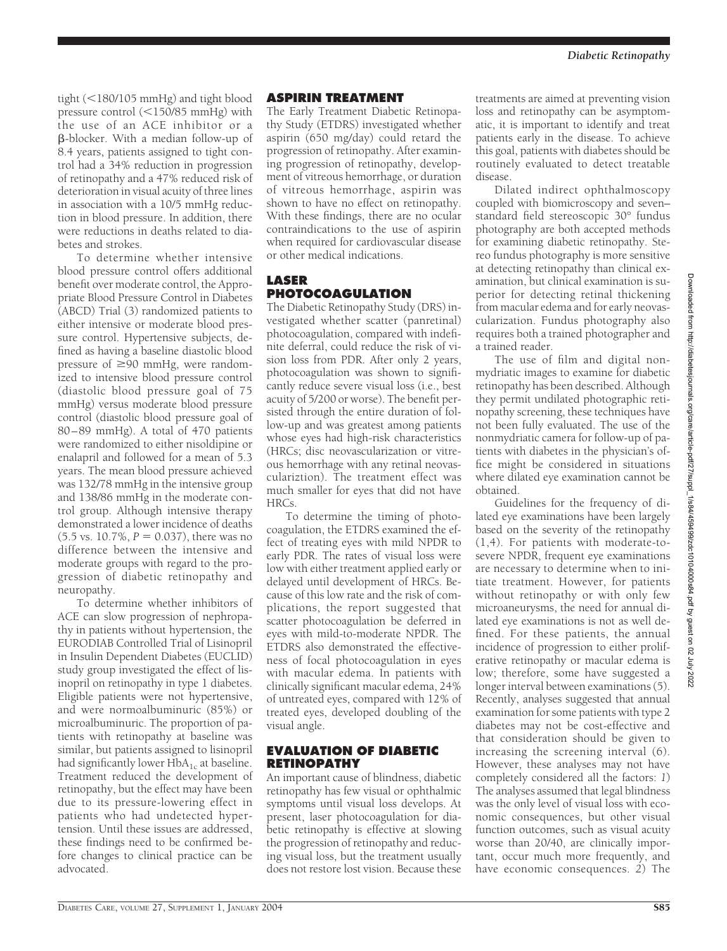tight (<180/105 mmHg) and tight blood pressure control (<150/85 mmHg) with the use of an ACE inhibitor or a -blocker. With a median follow-up of 8.4 years, patients assigned to tight control had a 34% reduction in progression of retinopathy and a 47% reduced risk of deterioration in visual acuity of three lines in association with a 10/5 mmHg reduction in blood pressure. In addition, there were reductions in deaths related to diabetes and strokes.

To determine whether intensive blood pressure control offers additional benefit over moderate control, the Appropriate Blood Pressure Control in Diabetes (ABCD) Trial (3) randomized patients to either intensive or moderate blood pressure control. Hypertensive subjects, defined as having a baseline diastolic blood pressure of  $\geq 90$  mmHg, were randomized to intensive blood pressure control (diastolic blood pressure goal of 75 mmHg) versus moderate blood pressure control (diastolic blood pressure goal of 80–89 mmHg). A total of 470 patients were randomized to either nisoldipine or enalapril and followed for a mean of 5.3 years. The mean blood pressure achieved was 132/78 mmHg in the intensive group and 138/86 mmHg in the moderate control group. Although intensive therapy demonstrated a lower incidence of deaths  $(5.5 \text{ vs. } 10.7\% \text{ P} = 0.037)$ , there was no difference between the intensive and moderate groups with regard to the progression of diabetic retinopathy and neuropathy.

To determine whether inhibitors of ACE can slow progression of nephropathy in patients without hypertension, the EURODIAB Controlled Trial of Lisinopril in Insulin Dependent Diabetes (EUCLID) study group investigated the effect of lisinopril on retinopathy in type 1 diabetes. Eligible patients were not hypertensive, and were normoalbuminuric (85%) or microalbuminuric. The proportion of patients with retinopathy at baseline was similar, but patients assigned to lisinopril had significantly lower  $HbA_{1c}$  at baseline. Treatment reduced the development of retinopathy, but the effect may have been due to its pressure-lowering effect in patients who had undetected hypertension. Until these issues are addressed, these findings need to be confirmed before changes to clinical practice can be advocated.

## **ASPIRIN TREATMENT**

The Early Treatment Diabetic Retinopathy Study (ETDRS) investigated whether aspirin (650 mg/day) could retard the progression of retinopathy. After examining progression of retinopathy, development of vitreous hemorrhage, or duration of vitreous hemorrhage, aspirin was shown to have no effect on retinopathy. With these findings, there are no ocular contraindications to the use of aspirin when required for cardiovascular disease or other medical indications.

# **LASER PHOTOCOAGULATION**

The Diabetic Retinopathy Study (DRS) investigated whether scatter (panretinal) photocoagulation, compared with indefinite deferral, could reduce the risk of vision loss from PDR. After only 2 years, photocoagulation was shown to significantly reduce severe visual loss (i.e., best acuity of 5/200 or worse). The benefit persisted through the entire duration of follow-up and was greatest among patients whose eyes had high-risk characteristics (HRCs; disc neovascularization or vitreous hemorrhage with any retinal neovasculariztion). The treatment effect was much smaller for eyes that did not have HRCs.

To determine the timing of photocoagulation, the ETDRS examined the effect of treating eyes with mild NPDR to early PDR. The rates of visual loss were low with either treatment applied early or delayed until development of HRCs. Because of this low rate and the risk of complications, the report suggested that scatter photocoagulation be deferred in eyes with mild-to-moderate NPDR. The ETDRS also demonstrated the effectiveness of focal photocoagulation in eyes with macular edema. In patients with clinically significant macular edema, 24% of untreated eyes, compared with 12% of treated eyes, developed doubling of the visual angle.

### **EVALUATION OF DIABETIC RETINOPATHY**

An important cause of blindness, diabetic retinopathy has few visual or ophthalmic symptoms until visual loss develops. At present, laser photocoagulation for diabetic retinopathy is effective at slowing the progression of retinopathy and reducing visual loss, but the treatment usually does not restore lost vision. Because these

treatments are aimed at preventing vision loss and retinopathy can be asymptomatic, it is important to identify and treat patients early in the disease. To achieve this goal, patients with diabetes should be routinely evaluated to detect treatable disease.

Dilated indirect ophthalmoscopy coupled with biomicroscopy and seven– standard field stereoscopic 30° fundus photography are both accepted methods for examining diabetic retinopathy. Stereo fundus photography is more sensitive at detecting retinopathy than clinical examination, but clinical examination is superior for detecting retinal thickening from macular edema and for early neovascularization. Fundus photography also requires both a trained photographer and a trained reader.

The use of film and digital nonmydriatic images to examine for diabetic retinopathy has been described. Although they permit undilated photographic retinopathy screening, these techniques have not been fully evaluated. The use of the nonmydriatic camera for follow-up of patients with diabetes in the physician's office might be considered in situations where dilated eye examination cannot be obtained.

Guidelines for the frequency of dilated eye examinations have been largely based on the severity of the retinopathy (1,4). For patients with moderate-tosevere NPDR, frequent eye examinations are necessary to determine when to initiate treatment. However, for patients without retinopathy or with only few microaneurysms, the need for annual dilated eye examinations is not as well defined. For these patients, the annual incidence of progression to either proliferative retinopathy or macular edema is low; therefore, some have suggested a longer interval between examinations (5). Recently, analyses suggested that annual examination for some patients with type 2 diabetes may not be cost-effective and that consideration should be given to increasing the screening interval (6). However, these analyses may not have completely considered all the factors: *1*) The analyses assumed that legal blindness was the only level of visual loss with economic consequences, but other visual function outcomes, such as visual acuity worse than 20/40, are clinically important, occur much more frequently, and have economic consequences. *2*) The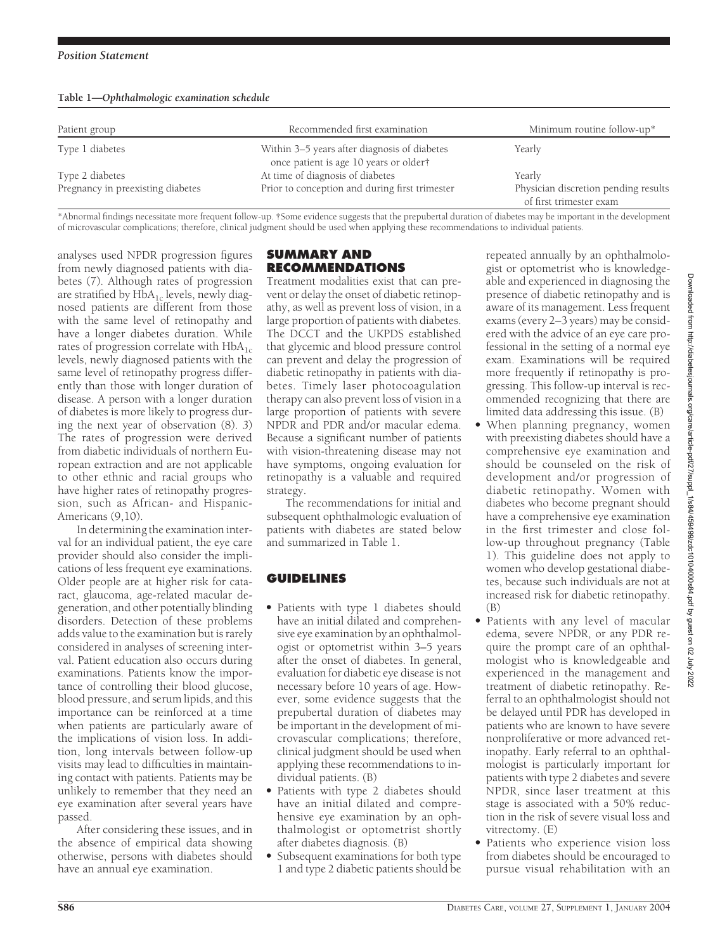|  | Table 1-Ophthalmologic examination schedule |  |  |
|--|---------------------------------------------|--|--|
|--|---------------------------------------------|--|--|

| Patient group                     | Recommended first examination                                                          | Minimum routine follow-up*                                      |
|-----------------------------------|----------------------------------------------------------------------------------------|-----------------------------------------------------------------|
| Type 1 diabetes                   | Within 3–5 years after diagnosis of diabetes<br>once patient is age 10 years or older† | Yearly                                                          |
| Type 2 diabetes                   | At time of diagnosis of diabetes                                                       | Yearly                                                          |
| Pregnancy in preexisting diabetes | Prior to conception and during first trimester                                         | Physician discretion pending results<br>of first trimester exam |

\*Abnormal findings necessitate more frequent follow-up. †Some evidence suggests that the prepubertal duration of diabetes may be important in the development of microvascular complications; therefore, clinical judgment should be used when applying these recommendations to individual patients.

analyses used NPDR progression figures from newly diagnosed patients with diabetes (7). Although rates of progression are stratified by  $HbA_{1c}$  levels, newly diagnosed patients are different from those with the same level of retinopathy and have a longer diabetes duration. While rates of progression correlate with  $HbA_{1c}$ levels, newly diagnosed patients with the same level of retinopathy progress differently than those with longer duration of disease. A person with a longer duration of diabetes is more likely to progress during the next year of observation (8). *3*) The rates of progression were derived from diabetic individuals of northern European extraction and are not applicable to other ethnic and racial groups who have higher rates of retinopathy progression, such as African- and Hispanic-Americans (9,10).

In determining the examination interval for an individual patient, the eye care provider should also consider the implications of less frequent eye examinations. Older people are at higher risk for cataract, glaucoma, age-related macular degeneration, and other potentially blinding disorders. Detection of these problems adds value to the examination but is rarely considered in analyses of screening interval. Patient education also occurs during examinations. Patients know the importance of controlling their blood glucose, blood pressure, and serum lipids, and this importance can be reinforced at a time when patients are particularly aware of the implications of vision loss. In addition, long intervals between follow-up visits may lead to difficulties in maintaining contact with patients. Patients may be unlikely to remember that they need an eye examination after several years have passed.

After considering these issues, and in the absence of empirical data showing otherwise, persons with diabetes should have an annual eye examination.

# **SUMMARY AND RECOMMENDATIONS**

Treatment modalities exist that can prevent or delay the onset of diabetic retinopathy, as well as prevent loss of vision, in a large proportion of patients with diabetes. The DCCT and the UKPDS established that glycemic and blood pressure control can prevent and delay the progression of diabetic retinopathy in patients with diabetes. Timely laser photocoagulation therapy can also prevent loss of vision in a large proportion of patients with severe NPDR and PDR and/or macular edema. Because a significant number of patients with vision-threatening disease may not have symptoms, ongoing evaluation for retinopathy is a valuable and required strategy.

The recommendations for initial and subsequent ophthalmologic evaluation of patients with diabetes are stated below and summarized in Table 1.

# **GUIDELINES**

- Patients with type 1 diabetes should have an initial dilated and comprehensive eye examination by an ophthalmologist or optometrist within 3–5 years after the onset of diabetes. In general, evaluation for diabetic eye disease is not necessary before 10 years of age. However, some evidence suggests that the prepubertal duration of diabetes may be important in the development of microvascular complications; therefore, clinical judgment should be used when applying these recommendations to individual patients. (B)
- Patients with type 2 diabetes should have an initial dilated and comprehensive eye examination by an ophthalmologist or optometrist shortly after diabetes diagnosis. (B)
- Subsequent examinations for both type 1 and type 2 diabetic patients should be

repeated annually by an ophthalmologist or optometrist who is knowledgeable and experienced in diagnosing the presence of diabetic retinopathy and is aware of its management. Less frequent exams (every 2–3 years) may be considered with the advice of an eye care professional in the setting of a normal eye exam. Examinations will be required more frequently if retinopathy is progressing. This follow-up interval is recommended recognizing that there are limited data addressing this issue. (B)

- When planning pregnancy, women with preexisting diabetes should have a comprehensive eye examination and should be counseled on the risk of development and/or progression of diabetic retinopathy. Women with diabetes who become pregnant should have a comprehensive eye examination in the first trimester and close follow-up throughout pregnancy (Table 1). This guideline does not apply to women who develop gestational diabetes, because such individuals are not at increased risk for diabetic retinopathy. (B)
- Patients with any level of macular edema, severe NPDR, or any PDR require the prompt care of an ophthalmologist who is knowledgeable and experienced in the management and treatment of diabetic retinopathy. Referral to an ophthalmologist should not be delayed until PDR has developed in patients who are known to have severe nonproliferative or more advanced retinopathy. Early referral to an ophthalmologist is particularly important for patients with type 2 diabetes and severe NPDR, since laser treatment at this stage is associated with a 50% reduction in the risk of severe visual loss and vitrectomy. (E)
- Patients who experience vision loss from diabetes should be encouraged to pursue visual rehabilitation with an